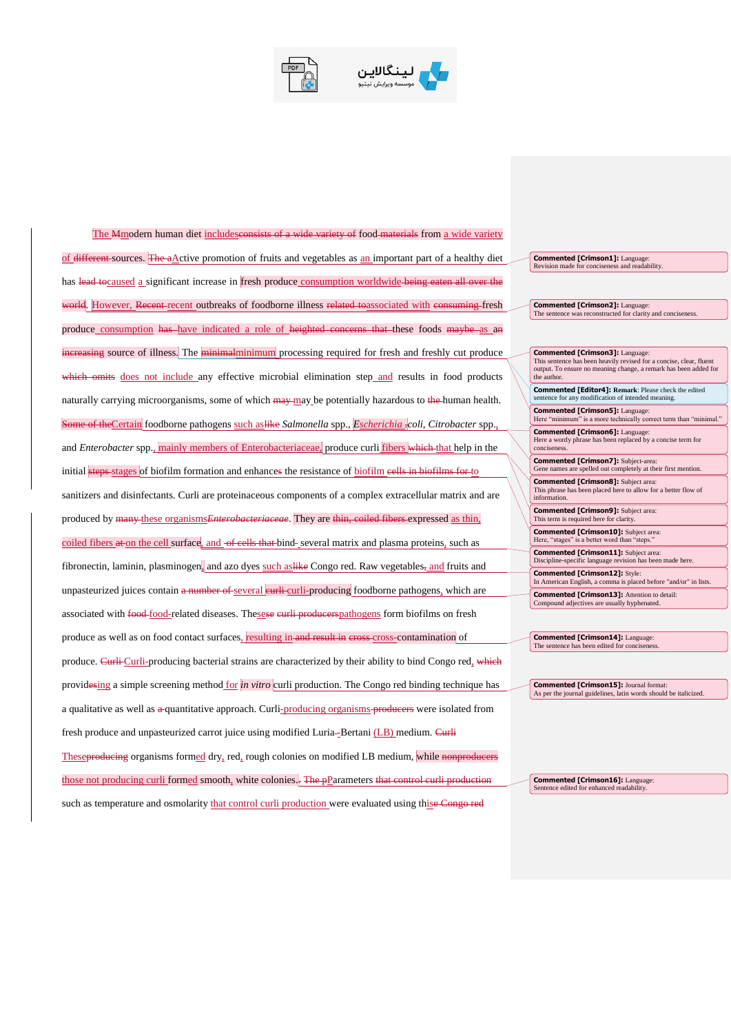

ينگالاين

The Mmodern human diet includesconsists of a wide variety of food-materials from a wide variety of different sources. The  $a\Delta$ ctive promotion of fruits and vegetables as  $a\ln$  important part of a healthy diet has lead tocaused a significant increase in fresh produce consumption worldwide being eaten all over the world. However, Recent-recent outbreaks of foodborne illness related toassociated with consuming fresh produce consumption has have indicated a role of heighted concerns that these foods maybe as an increasing source of illness. The minimalminimum processing required for fresh and freshly cut produce which omits does not include any effective microbial elimination step and results in food products naturally carrying microorganisms, some of which  $m$ y may be potentially hazardous to the human health. Some of theCertain foodborne pathogens such aslike *Salmonella* spp., *Escherichia .coli*, *Citrobacter* spp., and *Enterobacter* spp., mainly members of Enterobacteriaceae, produce curli fibers which that help in the initial steps stages of biofilm formation and enhances the resistance of biofilm eells in biofilms for to sanitizers and disinfectants. Curli are proteinaceous components of a complex extracellular matrix and are produced by many these organisms*Enterobacteriaceae*. They are thin, coiled fibers expressed as thin, coiled fibers at on the cell surface, and of cells that bind-several matrix and plasma proteins, such as fibronectin, laminin, plasminogen, and azo dyes such as like Congo red. Raw vegetables, and fruits and unpasteurized juices contain a number of several eurli-curli-producing foodborne pathogens, which are associated with food-food-related diseases. Thesese curli producerspathogens form biofilms on fresh produce as well as on food contact surfaces, resulting in and result in cross-cross-contamination of produce. Curli-producing bacterial strains are characterized by their ability to bind Congo red, which providesing a simple screening method <u>for *in vitro*</u> curli production. The Congo red binding technique has a qualitative as well as a quantitative approach. Curli-producing organisms producers were isolated from fresh produce and unpasteurized carrot juice using modified Luria--Bertani (LB) medium. Curli Theseproducing organisms formed dry, red, rough colonies on modified LB medium, while nonproducers those not producing curli formed smooth, white colonies. The pParameters that control curli production such as temperature and osmolarity that control curli production were evaluated using thise Congo red

**Commented [Crimson1]:** Language: Revision made for conciseness and readability.

**Commented [Crimson2]:** Language: The sentence was reconstructed for clarity and conciseness.

| <b>Commented [Crimson3]: Language:</b>                                                                            |
|-------------------------------------------------------------------------------------------------------------------|
| This sentence has been heavily revised for a concise, clear, fluent                                               |
| output. To ensure no meaning change, a remark has been added for                                                  |
| the author.                                                                                                       |
| <b>Commented [Editor4]: Remark: Please check the edited</b><br>sentence for any modification of intended meaning. |
| <b>Commented [Crimson5]: Language:</b>                                                                            |
| Here "minimum" is a more technically correct term than "minimal."                                                 |
| <b>Commented [Crimson6]:</b> Language:                                                                            |
| Here a wordy phrase has been replaced by a concise term for                                                       |
| conciseness.                                                                                                      |
| <b>Commented [Crimson7]:</b> Subject-area:                                                                        |
| Gene names are spelled out completely at their first mention.                                                     |
|                                                                                                                   |
| <b>Commented [Crimson8]:</b> Subject area:                                                                        |
| This phrase has been placed here to allow for a better flow of                                                    |
| information.                                                                                                      |
| <b>Commented [Crimson9]:</b> Subject area:                                                                        |
| This term is required here for clarity.                                                                           |
| <b>Commented [Crimson10]:</b> Subject area:                                                                       |
| Here, "stages" is a better word than "steps."                                                                     |
|                                                                                                                   |
| <b>Commented [Crimson11]:</b> Subject area:                                                                       |
| Discipline-specific language revision has been made here.                                                         |
| <b>Commented [Crimson12]: Style:</b>                                                                              |
| In American English, a comma is placed before "and/or" in lists.                                                  |
| <b>Commented [Crimson13]:</b> Attention to detail:                                                                |
| Compound adjectives are usually hyphenated.                                                                       |
|                                                                                                                   |

**Commented [Crimson14]:** Language: The sentence has been edited for conciseness.

**Commented [Crimson15]:** Journal format: As per the journal guidelines, latin words should be italicized.

**Commented [Crimson16]:** Language: Sentence edited for enhanced readability.